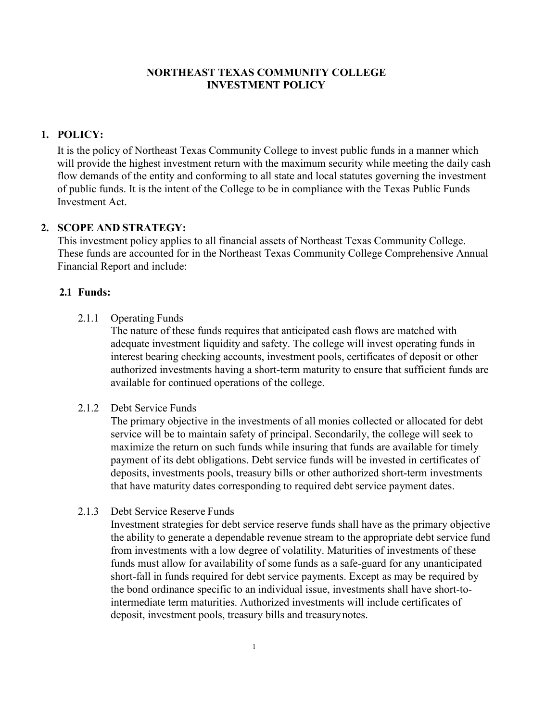## **NORTHEAST TEXAS COMMUNITY COLLEGE INVESTMENT POLICY**

## **1. POLICY:**

It is the policy of Northeast Texas Community College to invest public funds in a manner which will provide the highest investment return with the maximum security while meeting the daily cash flow demands of the entity and conforming to all state and local statutes governing the investment of public funds. It is the intent of the College to be in compliance with the Texas Public Funds Investment Act.

### **2. SCOPE AND STRATEGY:**

This investment policy applies to all financial assets of Northeast Texas Community College. These funds are accounted for in the Northeast Texas Community College Comprehensive Annual Financial Report and include:

### **2.1 Funds:**

2.1.1 Operating Funds

The nature of these funds requires that anticipated cash flows are matched with adequate investment liquidity and safety. The college will invest operating funds in interest bearing checking accounts, investment pools, certificates of deposit or other authorized investments having a short-term maturity to ensure that sufficient funds are available for continued operations of the college.

### 2.1.2 Debt Service Funds

The primary objective in the investments of all monies collected or allocated for debt service will be to maintain safety of principal. Secondarily, the college will seek to maximize the return on such funds while insuring that funds are available for timely payment of its debt obligations. Debt service funds will be invested in certificates of deposits, investments pools, treasury bills or other authorized short-term investments that have maturity dates corresponding to required debt service payment dates.

2.1.3 Debt Service Reserve Funds

Investment strategies for debt service reserve funds shall have as the primary objective the ability to generate a dependable revenue stream to the appropriate debt service fund from investments with a low degree of volatility. Maturities of investments of these funds must allow for availability of some funds as a safe-guard for any unanticipated short-fall in funds required for debt service payments. Except as may be required by the bond ordinance specific to an individual issue, investments shall have short-tointermediate term maturities. Authorized investments will include certificates of deposit, investment pools, treasury bills and treasurynotes.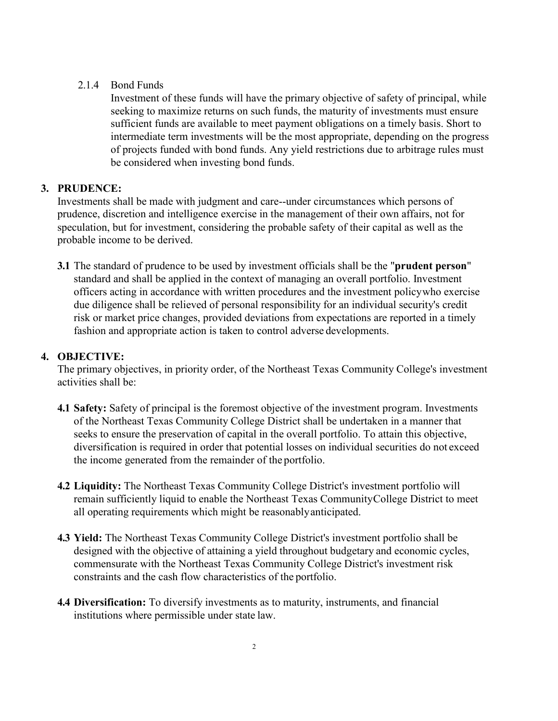## 2.1.4 Bond Funds

Investment of these funds will have the primary objective of safety of principal, while seeking to maximize returns on such funds, the maturity of investments must ensure sufficient funds are available to meet payment obligations on a timely basis. Short to intermediate term investments will be the most appropriate, depending on the progress of projects funded with bond funds. Any yield restrictions due to arbitrage rules must be considered when investing bond funds.

# **3. PRUDENCE:**

Investments shall be made with judgment and care--under circumstances which persons of prudence, discretion and intelligence exercise in the management of their own affairs, not for speculation, but for investment, considering the probable safety of their capital as well as the probable income to be derived.

**3.1** The standard of prudence to be used by investment officials shall be the "**prudent person**" standard and shall be applied in the context of managing an overall portfolio. Investment officers acting in accordance with written procedures and the investment policywho exercise due diligence shall be relieved of personal responsibility for an individual security's credit risk or market price changes, provided deviations from expectations are reported in a timely fashion and appropriate action is taken to control adverse developments.

# **4. OBJECTIVE:**

The primary objectives, in priority order, of the Northeast Texas Community College's investment activities shall be:

- **4.1 Safety:** Safety of principal is the foremost objective of the investment program. Investments of the Northeast Texas Community College District shall be undertaken in a manner that seeks to ensure the preservation of capital in the overall portfolio. To attain this objective, diversification is required in order that potential losses on individual securities do not exceed the income generated from the remainder of the portfolio.
- **4.2 Liquidity:** The Northeast Texas Community College District's investment portfolio will remain sufficiently liquid to enable the Northeast Texas CommunityCollege District to meet all operating requirements which might be reasonablyanticipated.
- **4.3 Yield:** The Northeast Texas Community College District's investment portfolio shall be designed with the objective of attaining a yield throughout budgetary and economic cycles, commensurate with the Northeast Texas Community College District's investment risk constraints and the cash flow characteristics of the portfolio.
- **4.4 Diversification:** To diversify investments as to maturity, instruments, and financial institutions where permissible under state law.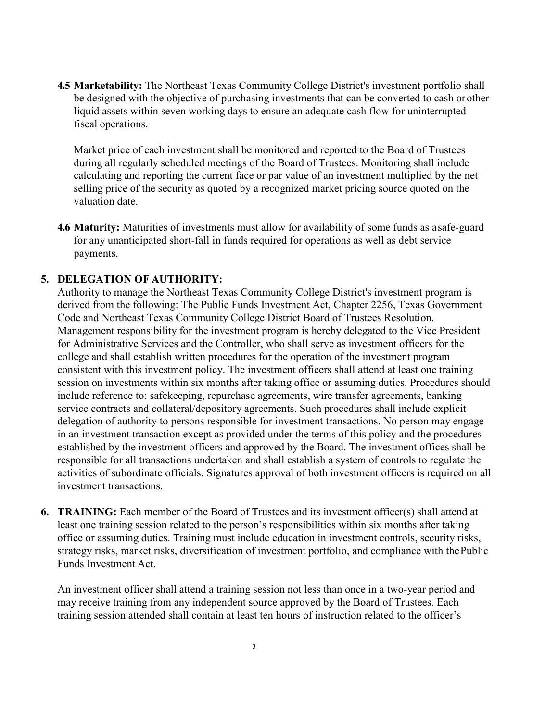**4.5 Marketability:** The Northeast Texas Community College District's investment portfolio shall be designed with the objective of purchasing investments that can be converted to cash orother liquid assets within seven working days to ensure an adequate cash flow for uninterrupted fiscal operations.

Market price of each investment shall be monitored and reported to the Board of Trustees during all regularly scheduled meetings of the Board of Trustees. Monitoring shall include calculating and reporting the current face or par value of an investment multiplied by the net selling price of the security as quoted by a recognized market pricing source quoted on the valuation date.

**4.6 Maturity:** Maturities of investments must allow for availability of some funds as asafe-guard for any unanticipated short-fall in funds required for operations as well as debt service payments.

### **5. DELEGATION OF AUTHORITY:**

Authority to manage the Northeast Texas Community College District's investment program is derived from the following: The Public Funds Investment Act, Chapter 2256, Texas Government Code and Northeast Texas Community College District Board of Trustees Resolution. Management responsibility for the investment program is hereby delegated to the Vice President for Administrative Services and the Controller, who shall serve as investment officers for the college and shall establish written procedures for the operation of the investment program consistent with this investment policy. The investment officers shall attend at least one training session on investments within six months after taking office or assuming duties. Procedures should include reference to: safekeeping, repurchase agreements, wire transfer agreements, banking service contracts and collateral/depository agreements. Such procedures shall include explicit delegation of authority to persons responsible for investment transactions. No person may engage in an investment transaction except as provided under the terms of this policy and the procedures established by the investment officers and approved by the Board. The investment offices shall be responsible for all transactions undertaken and shall establish a system of controls to regulate the activities of subordinate officials. Signatures approval of both investment officers is required on all investment transactions.

**6. TRAINING:** Each member of the Board of Trustees and its investment officer(s) shall attend at least one training session related to the person's responsibilities within six months after taking office or assuming duties. Training must include education in investment controls, security risks, strategy risks, market risks, diversification of investment portfolio, and compliance with thePublic Funds Investment Act.

An investment officer shall attend a training session not less than once in a two-year period and may receive training from any independent source approved by the Board of Trustees. Each training session attended shall contain at least ten hours of instruction related to the officer's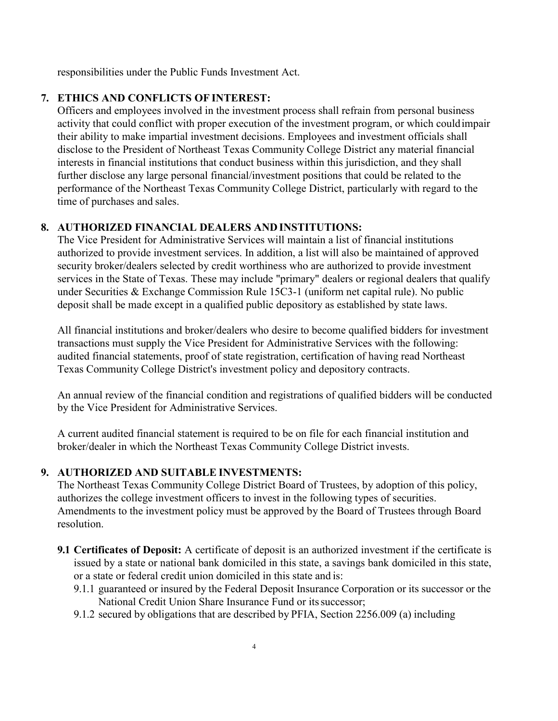responsibilities under the Public Funds Investment Act.

# **7. ETHICS AND CONFLICTS OF INTEREST:**

Officers and employees involved in the investment process shall refrain from personal business activity that could conflict with proper execution of the investment program, or which couldimpair their ability to make impartial investment decisions. Employees and investment officials shall disclose to the President of Northeast Texas Community College District any material financial interests in financial institutions that conduct business within this jurisdiction, and they shall further disclose any large personal financial/investment positions that could be related to the performance of the Northeast Texas Community College District, particularly with regard to the time of purchases and sales.

# **8. AUTHORIZED FINANCIAL DEALERS AND INSTITUTIONS:**

The Vice President for Administrative Services will maintain a list of financial institutions authorized to provide investment services. In addition, a list will also be maintained of approved security broker/dealers selected by credit worthiness who are authorized to provide investment services in the State of Texas. These may include "primary" dealers or regional dealers that qualify under Securities & Exchange Commission Rule 15C3-1 (uniform net capital rule). No public deposit shall be made except in a qualified public depository as established by state laws.

All financial institutions and broker/dealers who desire to become qualified bidders for investment transactions must supply the Vice President for Administrative Services with the following: audited financial statements, proof of state registration, certification of having read Northeast Texas Community College District's investment policy and depository contracts.

An annual review of the financial condition and registrations of qualified bidders will be conducted by the Vice President for Administrative Services.

A current audited financial statement is required to be on file for each financial institution and broker/dealer in which the Northeast Texas Community College District invests.

## **9. AUTHORIZED AND SUITABLE INVESTMENTS:**

The Northeast Texas Community College District Board of Trustees, by adoption of this policy, authorizes the college investment officers to invest in the following types of securities. Amendments to the investment policy must be approved by the Board of Trustees through Board resolution.

- **9.1 Certificates of Deposit:** A certificate of deposit is an authorized investment if the certificate is issued by a state or national bank domiciled in this state, a savings bank domiciled in this state, or a state or federal credit union domiciled in this state and is:
	- 9.1.1 guaranteed or insured by the Federal Deposit Insurance Corporation or its successor or the National Credit Union Share Insurance Fund or its successor;
	- 9.1.2 secured by obligations that are described by PFIA, Section 2256.009 (a) including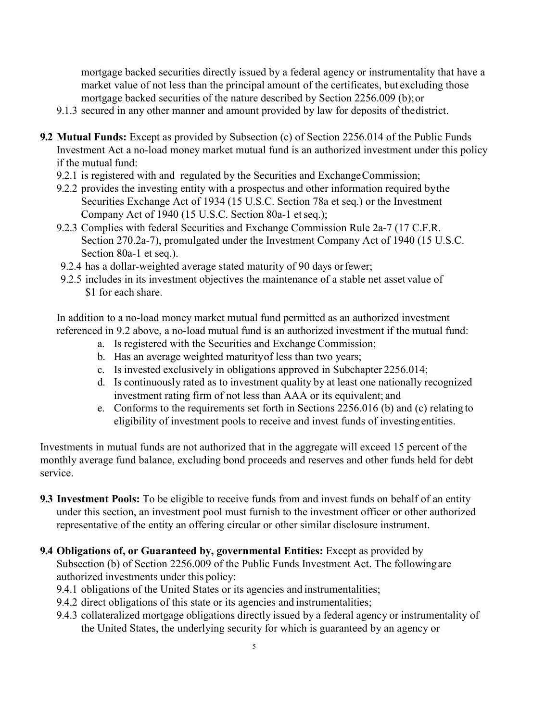mortgage backed securities directly issued by a federal agency or instrumentality that have a market value of not less than the principal amount of the certificates, but excluding those mortgage backed securities of the nature described by Section 2256.009 (b);or

- 9.1.3 secured in any other manner and amount provided by law for deposits of thedistrict.
- **9.2 Mutual Funds:** Except as provided by Subsection (c) of Section 2256.014 of the Public Funds Investment Act a no-load money market mutual fund is an authorized investment under this policy if the mutual fund:
	- 9.2.1 is registered with and regulated by the Securities and Exchange Commission;
	- 9.2.2 provides the investing entity with a prospectus and other information required bythe Securities Exchange Act of 1934 (15 U.S.C. Section 78a et seq.) or the Investment Company Act of 1940 (15 U.S.C. Section 80a-1 etseq.);
	- 9.2.3 Complies with federal Securities and Exchange Commission Rule 2a-7 (17 C.F.R. Section 270.2a-7), promulgated under the Investment Company Act of 1940 (15 U.S.C. Section 80a-1 et seq.).
	- 9.2.4 has a dollar-weighted average stated maturity of 90 days orfewer;
	- 9.2.5 includes in its investment objectives the maintenance of a stable net asset value of \$1 for each share.

In addition to a no-load money market mutual fund permitted as an authorized investment referenced in 9.2 above, a no-load mutual fund is an authorized investment if the mutual fund:

- a. Is registered with the Securities and Exchange Commission;
- b. Has an average weighted maturityof less than two years;
- c. Is invested exclusively in obligations approved in Subchapter 2256.014;
- d. Is continuously rated as to investment quality by at least one nationally recognized investment rating firm of not less than AAA or its equivalent; and
- e. Conforms to the requirements set forth in Sections 2256.016 (b) and (c) relating to eligibility of investment pools to receive and invest funds of investingentities.

Investments in mutual funds are not authorized that in the aggregate will exceed 15 percent of the monthly average fund balance, excluding bond proceeds and reserves and other funds held for debt service.

- **9.3 Investment Pools:** To be eligible to receive funds from and invest funds on behalf of an entity under this section, an investment pool must furnish to the investment officer or other authorized representative of the entity an offering circular or other similar disclosure instrument.
- **9.4 Obligations of, or Guaranteed by, governmental Entities:** Except as provided by Subsection (b) of Section 2256.009 of the Public Funds Investment Act. The followingare authorized investments under this policy:
	- 9.4.1 obligations of the United States or its agencies and instrumentalities;
	- 9.4.2 direct obligations of this state or its agencies and instrumentalities;
	- 9.4.3 collateralized mortgage obligations directly issued by a federal agency or instrumentality of the United States, the underlying security for which is guaranteed by an agency or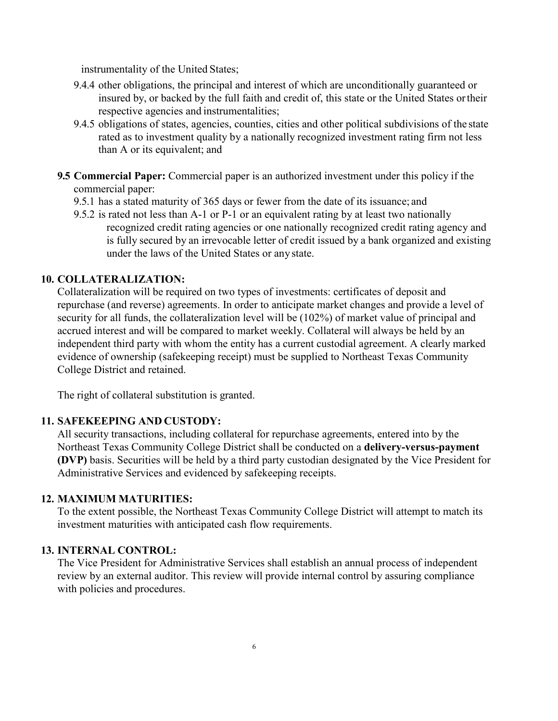instrumentality of the United States;

- 9.4.4 other obligations, the principal and interest of which are unconditionally guaranteed or insured by, or backed by the full faith and credit of, this state or the United States ortheir respective agencies and instrumentalities;
- 9.4.5 obligations of states, agencies, counties, cities and other political subdivisions of the state rated as to investment quality by a nationally recognized investment rating firm not less than A or its equivalent; and
- **9.5 Commercial Paper:** Commercial paper is an authorized investment under this policy if the commercial paper:
	- 9.5.1 has a stated maturity of 365 days or fewer from the date of its issuance; and
	- 9.5.2 is rated not less than A-1 or P-1 or an equivalent rating by at least two nationally recognized credit rating agencies or one nationally recognized credit rating agency and is fully secured by an irrevocable letter of credit issued by a bank organized and existing under the laws of the United States or any state.

## **10. COLLATERALIZATION:**

Collateralization will be required on two types of investments: certificates of deposit and repurchase (and reverse) agreements. In order to anticipate market changes and provide a level of security for all funds, the collateralization level will be (102%) of market value of principal and accrued interest and will be compared to market weekly. Collateral will always be held by an independent third party with whom the entity has a current custodial agreement. A clearly marked evidence of ownership (safekeeping receipt) must be supplied to Northeast Texas Community College District and retained.

The right of collateral substitution is granted.

### **11. SAFEKEEPING AND CUSTODY:**

All security transactions, including collateral for repurchase agreements, entered into by the Northeast Texas Community College District shall be conducted on a **delivery-versus-payment (DVP)** basis. Securities will be held by a third party custodian designated by the Vice President for Administrative Services and evidenced by safekeeping receipts.

### **12. MAXIMUM MATURITIES:**

To the extent possible, the Northeast Texas Community College District will attempt to match its investment maturities with anticipated cash flow requirements.

### **13. INTERNAL CONTROL:**

The Vice President for Administrative Services shall establish an annual process of independent review by an external auditor. This review will provide internal control by assuring compliance with policies and procedures.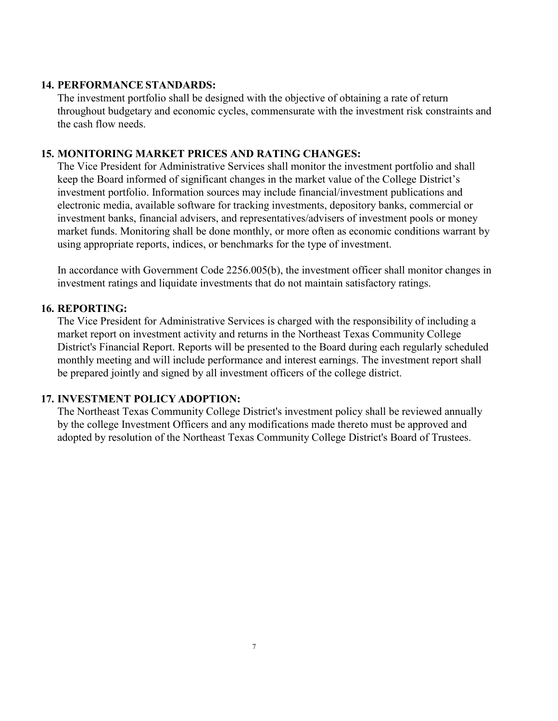### **14. PERFORMANCE STANDARDS:**

The investment portfolio shall be designed with the objective of obtaining a rate of return throughout budgetary and economic cycles, commensurate with the investment risk constraints and the cash flow needs.

### **15. MONITORING MARKET PRICES AND RATING CHANGES:**

The Vice President for Administrative Services shall monitor the investment portfolio and shall keep the Board informed of significant changes in the market value of the College District's investment portfolio. Information sources may include financial/investment publications and electronic media, available software for tracking investments, depository banks, commercial or investment banks, financial advisers, and representatives/advisers of investment pools or money market funds. Monitoring shall be done monthly, or more often as economic conditions warrant by using appropriate reports, indices, or benchmarks for the type of investment.

In accordance with Government Code 2256.005(b), the investment officer shall monitor changes in investment ratings and liquidate investments that do not maintain satisfactory ratings.

### **16. REPORTING:**

The Vice President for Administrative Services is charged with the responsibility of including a market report on investment activity and returns in the Northeast Texas Community College District's Financial Report. Reports will be presented to the Board during each regularly scheduled monthly meeting and will include performance and interest earnings. The investment report shall be prepared jointly and signed by all investment officers of the college district.

### **17. INVESTMENT POLICY ADOPTION:**

The Northeast Texas Community College District's investment policy shall be reviewed annually by the college Investment Officers and any modifications made thereto must be approved and adopted by resolution of the Northeast Texas Community College District's Board of Trustees.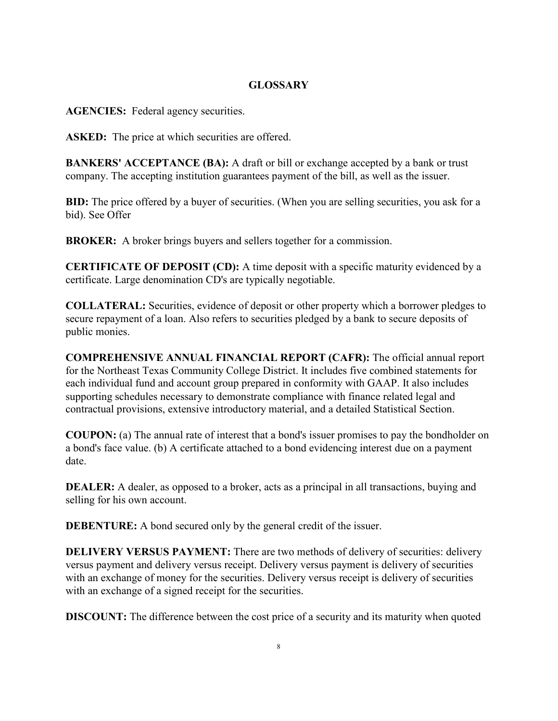## **GLOSSARY**

**AGENCIES:** Federal agency securities.

ASKED: The price at which securities are offered.

**BANKERS' ACCEPTANCE (BA):** A draft or bill or exchange accepted by a bank or trust company. The accepting institution guarantees payment of the bill, as well as the issuer.

**BID:** The price offered by a buyer of securities. (When you are selling securities, you ask for a bid). See Offer

**BROKER:** A broker brings buyers and sellers together for a commission.

**CERTIFICATE OF DEPOSIT (CD):** A time deposit with a specific maturity evidenced by a certificate. Large denomination CD's are typically negotiable.

**COLLATERAL:** Securities, evidence of deposit or other property which a borrower pledges to secure repayment of a loan. Also refers to securities pledged by a bank to secure deposits of public monies.

**COMPREHENSIVE ANNUAL FINANCIAL REPORT (CAFR):** The official annual report for the Northeast Texas Community College District. It includes five combined statements for each individual fund and account group prepared in conformity with GAAP. It also includes supporting schedules necessary to demonstrate compliance with finance related legal and contractual provisions, extensive introductory material, and a detailed Statistical Section.

**COUPON:** (a) The annual rate of interest that a bond's issuer promises to pay the bondholder on a bond's face value. (b) A certificate attached to a bond evidencing interest due on a payment date.

**DEALER:** A dealer, as opposed to a broker, acts as a principal in all transactions, buying and selling for his own account.

**DEBENTURE:** A bond secured only by the general credit of the issuer.

**DELIVERY VERSUS PAYMENT:** There are two methods of delivery of securities: delivery versus payment and delivery versus receipt. Delivery versus payment is delivery of securities with an exchange of money for the securities. Delivery versus receipt is delivery of securities with an exchange of a signed receipt for the securities.

**DISCOUNT:** The difference between the cost price of a security and its maturity when quoted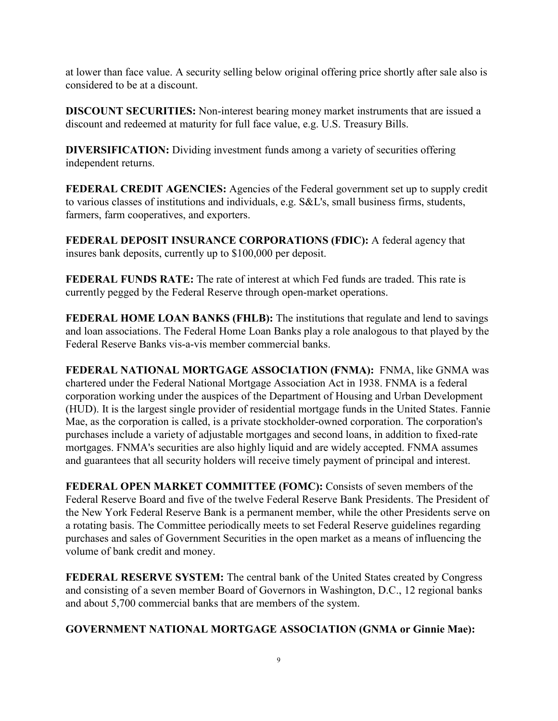at lower than face value. A security selling below original offering price shortly after sale also is considered to be at a discount.

**DISCOUNT SECURITIES:** Non-interest bearing money market instruments that are issued a discount and redeemed at maturity for full face value, e.g. U.S. Treasury Bills.

**DIVERSIFICATION:** Dividing investment funds among a variety of securities offering independent returns.

**FEDERAL CREDIT AGENCIES:** Agencies of the Federal government set up to supply credit to various classes of institutions and individuals, e.g. S&L's, small business firms, students, farmers, farm cooperatives, and exporters.

**FEDERAL DEPOSIT INSURANCE CORPORATIONS (FDIC):** A federal agency that insures bank deposits, currently up to \$100,000 per deposit.

**FEDERAL FUNDS RATE:** The rate of interest at which Fed funds are traded. This rate is currently pegged by the Federal Reserve through open-market operations.

**FEDERAL HOME LOAN BANKS (FHLB):** The institutions that regulate and lend to savings and loan associations. The Federal Home Loan Banks play a role analogous to that played by the Federal Reserve Banks vis-a-vis member commercial banks.

**FEDERAL NATIONAL MORTGAGE ASSOCIATION (FNMA):** FNMA, like GNMA was chartered under the Federal National Mortgage Association Act in 1938. FNMA is a federal corporation working under the auspices of the Department of Housing and Urban Development (HUD). It is the largest single provider of residential mortgage funds in the United States. Fannie Mae, as the corporation is called, is a private stockholder-owned corporation. The corporation's purchases include a variety of adjustable mortgages and second loans, in addition to fixed-rate mortgages. FNMA's securities are also highly liquid and are widely accepted. FNMA assumes and guarantees that all security holders will receive timely payment of principal and interest.

**FEDERAL OPEN MARKET COMMITTEE (FOMC):** Consists of seven members of the Federal Reserve Board and five of the twelve Federal Reserve Bank Presidents. The President of the New York Federal Reserve Bank is a permanent member, while the other Presidents serve on a rotating basis. The Committee periodically meets to set Federal Reserve guidelines regarding purchases and sales of Government Securities in the open market as a means of influencing the volume of bank credit and money.

**FEDERAL RESERVE SYSTEM:** The central bank of the United States created by Congress and consisting of a seven member Board of Governors in Washington, D.C., 12 regional banks and about 5,700 commercial banks that are members of the system.

## **GOVERNMENT NATIONAL MORTGAGE ASSOCIATION (GNMA or Ginnie Mae):**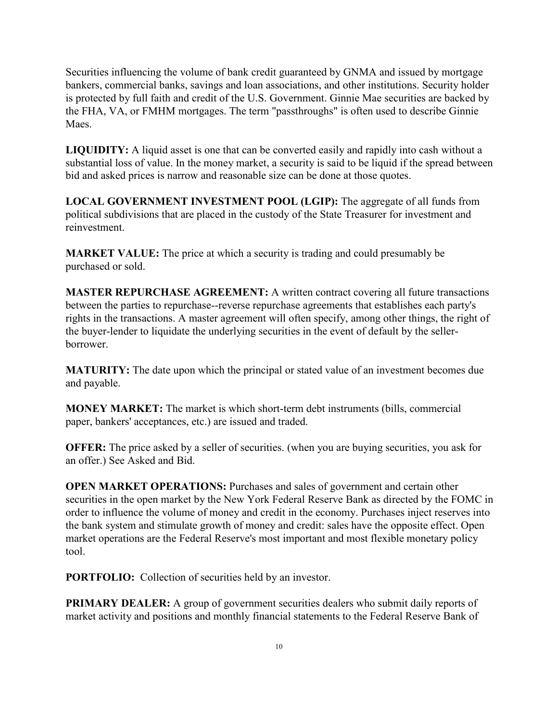Securities influencing the volume of bank credit guaranteed by GNMA and issued by mortgage bankers, commercial banks, savings and loan associations, and other institutions. Security holder is protected by full faith and credit of the U.S. Government. Ginnie Mae securities are backed by the FHA, VA, or FMHM mortgages. The term "passthroughs" is often used to describe Ginnie Maes.

**LIQUIDITY:** A liquid asset is one that can be converted easily and rapidly into cash without a substantial loss of value. In the money market, a security is said to be liquid if the spread between bid and asked prices is narrow and reasonable size can be done at those quotes.

**LOCAL GOVERNMENT INVESTMENT POOL (LGIP):** The aggregate of all funds from political subdivisions that are placed in the custody of the State Treasurer for investment and reinvestment.

**MARKET VALUE:** The price at which a security is trading and could presumably be purchased or sold.

**MASTER REPURCHASE AGREEMENT:** A written contract covering all future transactions between the parties to repurchase--reverse repurchase agreements that establishes each party's rights in the transactions. A master agreement will often specify, among other things, the right of the buyer-lender to liquidate the underlying securities in the event of default by the sellerborrower.

**MATURITY:** The date upon which the principal or stated value of an investment becomes due and payable.

**MONEY MARKET:** The market is which short-term debt instruments (bills, commercial paper, bankers' acceptances, etc.) are issued and traded.

**OFFER:** The price asked by a seller of securities. (when you are buying securities, you ask for an offer.) See Asked and Bid.

**OPEN MARKET OPERATIONS:** Purchases and sales of government and certain other securities in the open market by the New York Federal Reserve Bank as directed by the FOMC in order to influence the volume of money and credit in the economy. Purchases inject reserves into the bank system and stimulate growth of money and credit: sales have the opposite effect. Open market operations are the Federal Reserve's most important and most flexible monetary policy tool.

**PORTFOLIO:** Collection of securities held by an investor.

**PRIMARY DEALER:** A group of government securities dealers who submit daily reports of market activity and positions and monthly financial statements to the Federal Reserve Bank of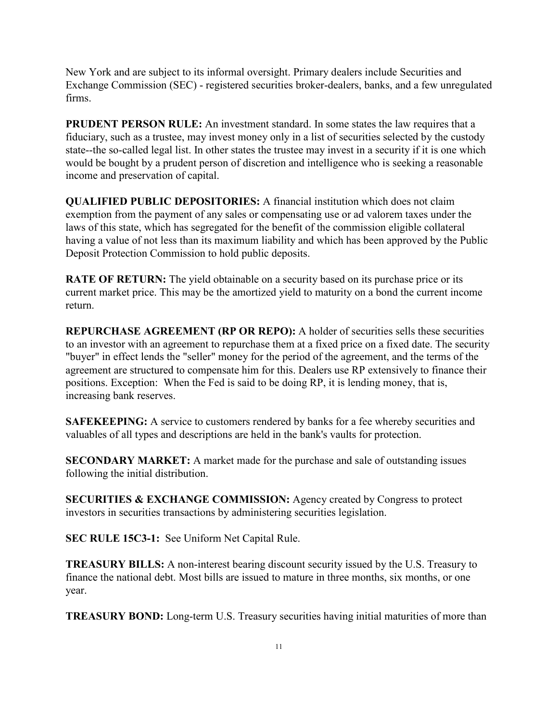New York and are subject to its informal oversight. Primary dealers include Securities and Exchange Commission (SEC) - registered securities broker-dealers, banks, and a few unregulated firms.

**PRUDENT PERSON RULE:** An investment standard. In some states the law requires that a fiduciary, such as a trustee, may invest money only in a list of securities selected by the custody state--the so-called legal list. In other states the trustee may invest in a security if it is one which would be bought by a prudent person of discretion and intelligence who is seeking a reasonable income and preservation of capital.

**QUALIFIED PUBLIC DEPOSITORIES:** A financial institution which does not claim exemption from the payment of any sales or compensating use or ad valorem taxes under the laws of this state, which has segregated for the benefit of the commission eligible collateral having a value of not less than its maximum liability and which has been approved by the Public Deposit Protection Commission to hold public deposits.

**RATE OF RETURN:** The yield obtainable on a security based on its purchase price or its current market price. This may be the amortized yield to maturity on a bond the current income return.

**REPURCHASE AGREEMENT (RP OR REPO):** A holder of securities sells these securities to an investor with an agreement to repurchase them at a fixed price on a fixed date. The security "buyer" in effect lends the "seller" money for the period of the agreement, and the terms of the agreement are structured to compensate him for this. Dealers use RP extensively to finance their positions. Exception: When the Fed is said to be doing RP, it is lending money, that is, increasing bank reserves.

**SAFEKEEPING:** A service to customers rendered by banks for a fee whereby securities and valuables of all types and descriptions are held in the bank's vaults for protection.

**SECONDARY MARKET:** A market made for the purchase and sale of outstanding issues following the initial distribution.

**SECURITIES & EXCHANGE COMMISSION:** Agency created by Congress to protect investors in securities transactions by administering securities legislation.

**SEC RULE 15C3-1:** See Uniform Net Capital Rule.

**TREASURY BILLS:** A non-interest bearing discount security issued by the U.S. Treasury to finance the national debt. Most bills are issued to mature in three months, six months, or one year.

**TREASURY BOND:** Long-term U.S. Treasury securities having initial maturities of more than